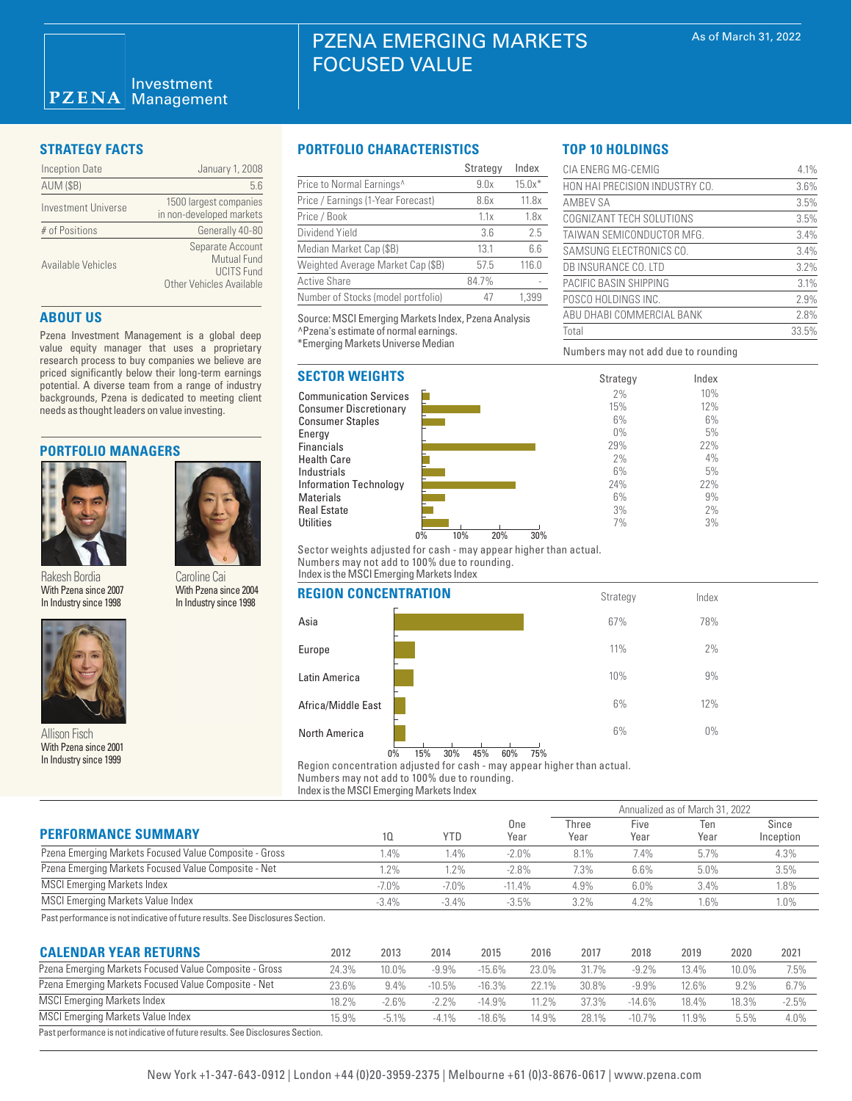| <b>Inception Date</b> | January 1, 2008                                                                                |
|-----------------------|------------------------------------------------------------------------------------------------|
| <b>AUM (\$B)</b>      | 5.6                                                                                            |
| Investment Universe   | 1500 largest companies<br>in non-developed markets                                             |
| # of Positions        | Generally 40-80                                                                                |
| Available Vehicles    | Separate Account<br><b>Mutual Fund</b><br><b>UCITS Fund</b><br><b>Other Vehicles Available</b> |

# **ABOUT US**

Pzena Investment Management is a global deep value equity manager that uses a proprietary research process to buy companies we believe are priced significantly below their long-term earnings potential. A diverse team from a range of industry backgrounds, Pzena is dedicated to meeting client needs as thought leaders on value investing.

# **PORTFOLIO MANAGERS**



Rakesh Bordia With Pzena since 2007 In Industry since 1998

Caroline Cai With Pzena since 2004 In Industry since 1998



Allison Fisch With Pzena since 2001 In Industry since 1999

# **STRATEGY FACTS PORTFOLIO CHARACTERISTICS**

FOCUSED VALUE

|                                       | Strategy | Index    |
|---------------------------------------|----------|----------|
| Price to Normal Earnings <sup>^</sup> | 9.0x     | $15.0x*$ |
| Price / Earnings (1-Year Forecast)    | 8.6x     | 11.8x    |
| Price / Book                          | 1.1x     | 1.8x     |
| Dividend Yield                        | 3.6      | 2.5      |
| Median Market Cap (\$B)               | 13.1     | 6.6      |
| Weighted Average Market Cap (\$B)     | 57.5     | 116.0    |
| <b>Active Share</b>                   | 84.7%    |          |
| Number of Stocks (model portfolio)    | 47       | 1.399    |

PZENA EMERGING MARKETS

Source: MSCI Emerging Markets Index, Pzena Analysis ^Pzena's estimate of normal earnings. \*Emerging Markets Universe Median

# **SECTOR WEIGHTS**





Numbers may not add due to rounding

CIA ENERG MG-CEMIG 4.1% HON HAI PRECISION INDUSTRY CO. 3.6% AMBEV SA 3.5% COGNIZANT TECH SOLUTIONS 3.5% TAIWAN SEMICONDUCTOR MFG. 3.4% SAMSUNG ELECTRONICS CO. 3.4% DB INSURANCE CO. LTD 3.2% PACIFIC BASIN SHIPPING 3.1% POSCO HOLDINGS INC. 2.9% ABU DHABI COMMERCIAL BANK 2.8% Total 33.5%

> Index 10% 12% 6% 5% 22% 4% 5% 22% 9% 2% 3%

**TOP 10 HOLDINGS**

Sector weights adjusted for cash - may appear higher than actual. Numbers may not add to 100% due to rounding. Index is the MSCI Emerging Markets Index

### **REGION CONCENTRATION**

| <b>KEGIUN GUNGENIKATIUN</b> |                                | Strategy  | Index |  |
|-----------------------------|--------------------------------|-----------|-------|--|
| Asia                        |                                | 67%       | 78%   |  |
| Europe                      |                                | 11%       | 2%    |  |
| Latin America               |                                | 10%       | 9%    |  |
| Africa/Middle East          |                                | 6%        | 12%   |  |
| <b>North America</b>        | 15%<br>30%<br>45%<br>60%<br>0% | 6%<br>75% | $0\%$ |  |
|                             |                                |           |       |  |

Region concentration adjusted for cash - may appear higher than actual. Numbers may not add to 100% due to rounding.

Index is the MSCI Emerging Markets Index

|                                                        |         |            |             | Annualized as of March 31, 2022 |              |             |                    |  |
|--------------------------------------------------------|---------|------------|-------------|---------------------------------|--------------|-------------|--------------------|--|
| <b>PERFORMANCE SUMMARY</b>                             | 10      | <b>YTD</b> | One<br>Year | Three<br>Year                   | Five<br>Year | Ten<br>Year | Since<br>Inception |  |
| Pzena Emerging Markets Focused Value Composite - Gross | .4%     | .4%        | $-2.0%$     | 8.1%                            | 7.4%         | 5.7%        | 4.3%               |  |
| Pzena Emerging Markets Focused Value Composite - Net   | 2%      | 1.2%       | $-2.8%$     | 7.3%                            | 6.6%         | 5.0%        | 3.5%               |  |
| <b>MSCI Emerging Markets Index</b>                     | $-7.0%$ | $-7.0%$    | $-11.4%$    | 4.9%                            | 6.0%         | 3.4%        | 1.8%               |  |
| MSCI Emerging Markets Value Index                      | $-3.4%$ | $-3.4%$    | $-3.5%$     | 3.2%                            | 4.2%         | 1.6%        | 1.0%               |  |

Past performance is not indicative of future results. See Disclosures Section.

| <b>CALENDAR YEAR RETURNS</b>                                                   | 2012  | 2013    | 2014      | 2015      | 2016  | 2017  | 2018     | 2019  | 2020  | 2021    |
|--------------------------------------------------------------------------------|-------|---------|-----------|-----------|-------|-------|----------|-------|-------|---------|
| Pzena Emerging Markets Focused Value Composite - Gross                         | 24.3% | 10.0%   | -9.9%     | $-15.6%$  | 23.0% | 31.7% | $-9.2\%$ | 13.4% | 10.0% | 7.5%    |
| Pzena Emerging Markets Focused Value Composite - Net                           | 23.6% | 9.4%    | $-10.5\%$ | $-16.3%$  | 22.1% | 30.8% | $-9.9%$  | 12.6% | 9.2%  | 6.7%    |
| MSCI Emerging Markets Index                                                    | 18.2% | $-2.6%$ | $-2.2\%$  | $-14.9\%$ | 11.2% | 37.3% | $-14.6%$ | 18.4% | 18.3% | $-2.5%$ |
| <b>MSCI Emerging Markets Value Index</b>                                       | 15.9% | $-5.1%$ | $-41%$    | $-18.6%$  | 14.9% | 28.1% | $-10.7%$ | 11.9% | 5.5%  | 4.0%    |
| Past performance is not indicative of future results. See Disclosures Section. |       |         |           |           |       |       |          |       |       |         |

# New York +1-347-643-0912 | London +44 (0)20-3959-2375 | Melbourne +61 (0)3-8676-0617 | www.pzena.com